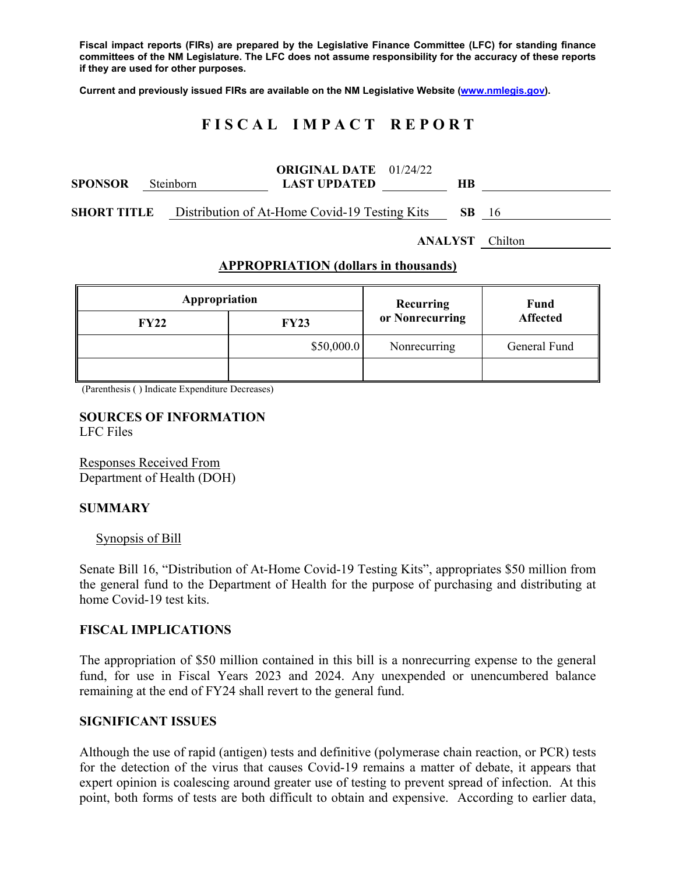**Fiscal impact reports (FIRs) are prepared by the Legislative Finance Committee (LFC) for standing finance committees of the NM Legislature. The LFC does not assume responsibility for the accuracy of these reports if they are used for other purposes.** 

**Current and previously issued FIRs are available on the NM Legislative Website (www.nmlegis.gov).** 

# **F I S C A L I M P A C T R E P O R T**

| <b>SPONSOR</b>     | Steinborn | <b>ORIGINAL DATE</b> 01/24/22<br><b>LAST UPDATED</b> |  | <b>HB</b>    |  |
|--------------------|-----------|------------------------------------------------------|--|--------------|--|
| <b>SHORT TITLE</b> |           | Distribution of At-Home Covid-19 Testing Kits        |  | <b>SB</b> 16 |  |
|                    |           | <b>ANALYST</b> Chilton                               |  |              |  |

### **APPROPRIATION (dollars in thousands)**

| Appropriation |             | Recurring       | <b>Fund</b><br><b>Affected</b> |  |
|---------------|-------------|-----------------|--------------------------------|--|
| <b>FY22</b>   | <b>FY23</b> | or Nonrecurring |                                |  |
|               | \$50,000.0  | Nonrecurring    | General Fund                   |  |
|               |             |                 |                                |  |

(Parenthesis ( ) Indicate Expenditure Decreases)

#### **SOURCES OF INFORMATION**  LFC Files

Responses Received From Department of Health (DOH)

## **SUMMARY**

#### Synopsis of Bill

Senate Bill 16, "Distribution of At-Home Covid-19 Testing Kits", appropriates \$50 million from the general fund to the Department of Health for the purpose of purchasing and distributing at home Covid-19 test kits.

#### **FISCAL IMPLICATIONS**

The appropriation of \$50 million contained in this bill is a nonrecurring expense to the general fund, for use in Fiscal Years 2023 and 2024. Any unexpended or unencumbered balance remaining at the end of FY24 shall revert to the general fund.

#### **SIGNIFICANT ISSUES**

Although the use of rapid (antigen) tests and definitive (polymerase chain reaction, or PCR) tests for the detection of the virus that causes Covid-19 remains a matter of debate, it appears that expert opinion is coalescing around greater use of testing to prevent spread of infection. At this point, both forms of tests are both difficult to obtain and expensive. According to earlier data,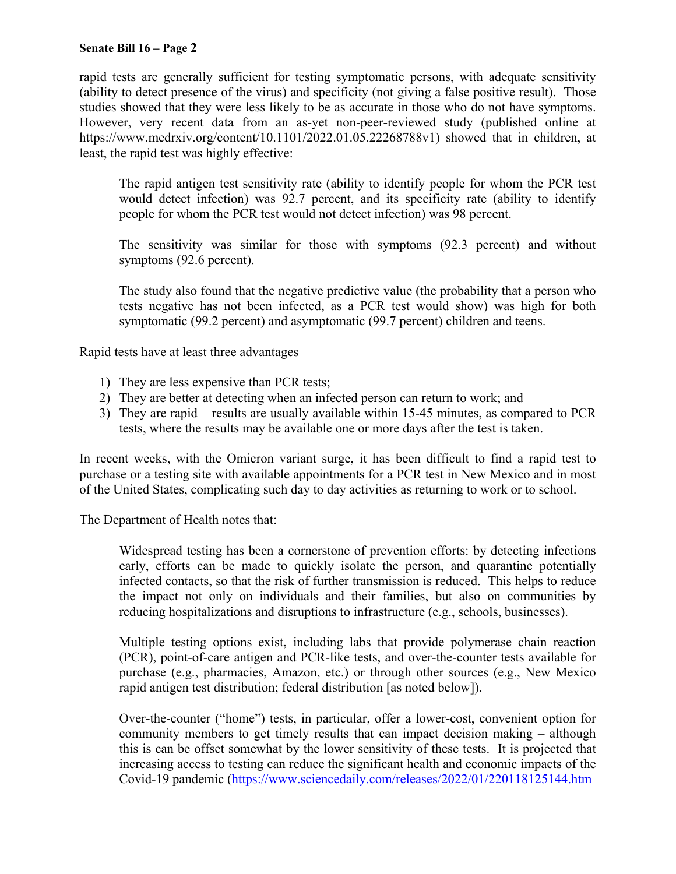## **Senate Bill 16 – Page 2**

rapid tests are generally sufficient for testing symptomatic persons, with adequate sensitivity (ability to detect presence of the virus) and specificity (not giving a false positive result). Those studies showed that they were less likely to be as accurate in those who do not have symptoms. However, very recent data from an as-yet non-peer-reviewed study (published online at https://www.medrxiv.org/content/10.1101/2022.01.05.22268788v1) showed that in children, at least, the rapid test was highly effective:

The rapid antigen test sensitivity rate (ability to identify people for whom the PCR test would detect infection) was 92.7 percent, and its specificity rate (ability to identify people for whom the PCR test would not detect infection) was 98 percent.

The sensitivity was similar for those with symptoms (92.3 percent) and without symptoms (92.6 percent).

The study also found that the negative predictive value (the probability that a person who tests negative has not been infected, as a PCR test would show) was high for both symptomatic (99.2 percent) and asymptomatic (99.7 percent) children and teens.

Rapid tests have at least three advantages

- 1) They are less expensive than PCR tests;
- 2) They are better at detecting when an infected person can return to work; and
- 3) They are rapid results are usually available within 15-45 minutes, as compared to PCR tests, where the results may be available one or more days after the test is taken.

In recent weeks, with the Omicron variant surge, it has been difficult to find a rapid test to purchase or a testing site with available appointments for a PCR test in New Mexico and in most of the United States, complicating such day to day activities as returning to work or to school.

The Department of Health notes that:

Widespread testing has been a cornerstone of prevention efforts: by detecting infections early, efforts can be made to quickly isolate the person, and quarantine potentially infected contacts, so that the risk of further transmission is reduced. This helps to reduce the impact not only on individuals and their families, but also on communities by reducing hospitalizations and disruptions to infrastructure (e.g., schools, businesses).

Multiple testing options exist, including labs that provide polymerase chain reaction (PCR), point-of-care antigen and PCR-like tests, and over-the-counter tests available for purchase (e.g., pharmacies, Amazon, etc.) or through other sources (e.g., New Mexico rapid antigen test distribution; federal distribution [as noted below]).

Over-the-counter ("home") tests, in particular, offer a lower-cost, convenient option for community members to get timely results that can impact decision making – although this is can be offset somewhat by the lower sensitivity of these tests. It is projected that increasing access to testing can reduce the significant health and economic impacts of the Covid-19 pandemic (https://www.sciencedaily.com/releases/2022/01/220118125144.htm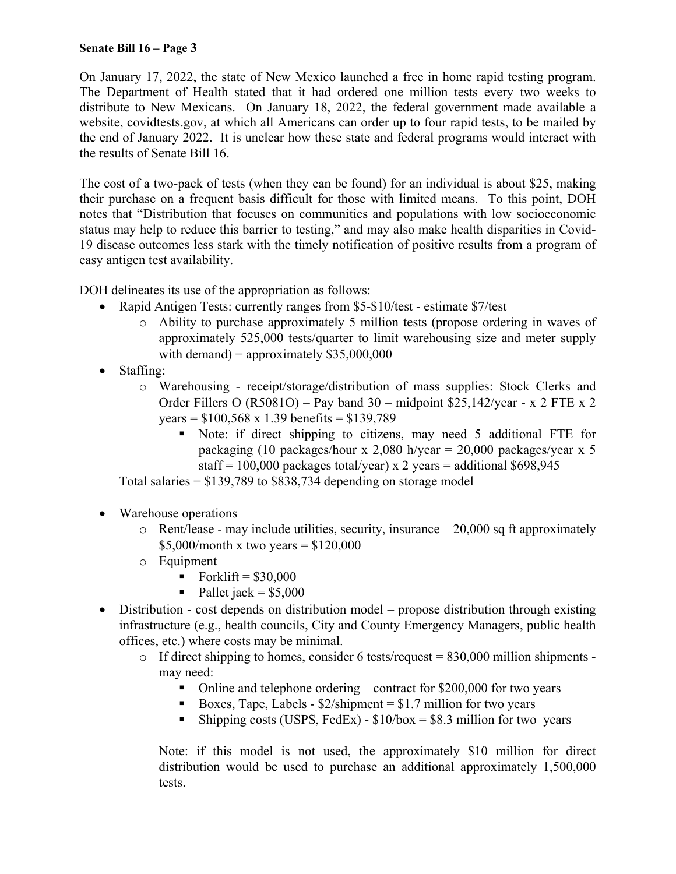## **Senate Bill 16 – Page 3**

On January 17, 2022, the state of New Mexico launched a free in home rapid testing program. The Department of Health stated that it had ordered one million tests every two weeks to distribute to New Mexicans. On January 18, 2022, the federal government made available a website, covidtests.gov, at which all Americans can order up to four rapid tests, to be mailed by the end of January 2022. It is unclear how these state and federal programs would interact with the results of Senate Bill 16.

The cost of a two-pack of tests (when they can be found) for an individual is about \$25, making their purchase on a frequent basis difficult for those with limited means. To this point, DOH notes that "Distribution that focuses on communities and populations with low socioeconomic status may help to reduce this barrier to testing," and may also make health disparities in Covid-19 disease outcomes less stark with the timely notification of positive results from a program of easy antigen test availability.

DOH delineates its use of the appropriation as follows:

- Rapid Antigen Tests: currently ranges from \$5-\$10/test estimate \$7/test
	- o Ability to purchase approximately 5 million tests (propose ordering in waves of approximately 525,000 tests/quarter to limit warehousing size and meter supply with demand) = approximately  $$35,000,000$
- Staffing:
	- o Warehousing receipt/storage/distribution of mass supplies: Stock Clerks and Order Fillers O (R5081O) – Pay band  $30$  – midpoint \$25,142/year - x 2 FTE x 2 years = \$100,568 x 1.39 benefits = \$139,789
		- Note: if direct shipping to citizens, may need 5 additional FTE for packaging (10 packages/hour x 2,080 h/year =  $20,000$  packages/year x 5 staff = 100,000 packages total/year) x 2 years = additional  $$698,945$

Total salaries  $= $139,789$  to  $$838,734$  depending on storage model

- Warehouse operations
	- $\circ$  Rent/lease may include utilities, security, insurance  $-20,000$  sq ft approximately \$5,000/month x two years =  $$120,000$
	- o Equipment
		- Forklift =  $$30,000$
		- Pallet jack =  $$5,000$
- Distribution cost depends on distribution model propose distribution through existing infrastructure (e.g., health councils, City and County Emergency Managers, public health offices, etc.) where costs may be minimal.
	- $\circ$  If direct shipping to homes, consider 6 tests/request = 830,000 million shipments may need:
		- Online and telephone ordering contract for  $$200,000$  for two years
		- Boxes, Tape, Labels  $$2/s$ hipment =  $$1.7$  million for two years
		- Shipping costs (USPS, FedEx)  $$10/box = $8.3$  million for two years

Note: if this model is not used, the approximately \$10 million for direct distribution would be used to purchase an additional approximately 1,500,000 tests.